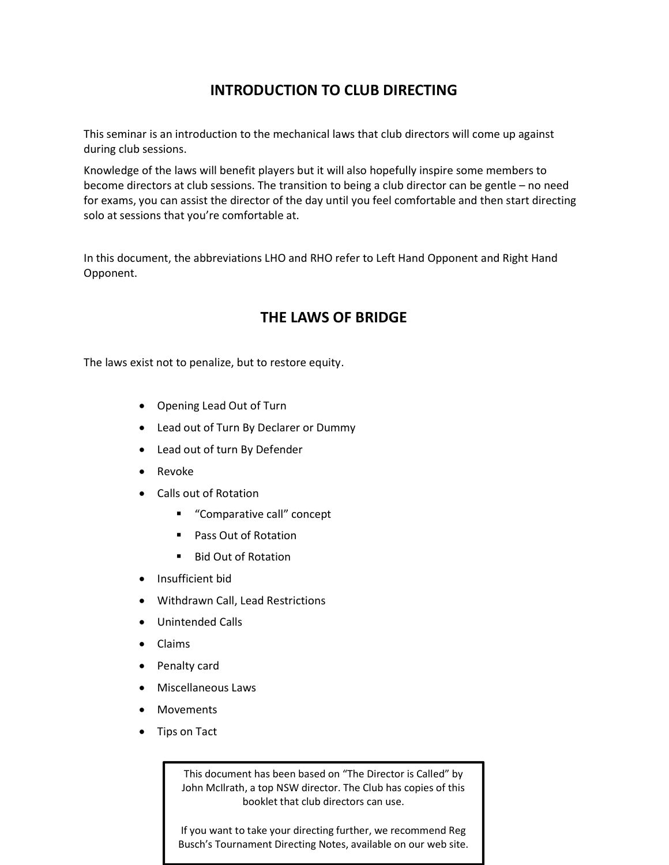# INTRODUCTION TO CLUB DIRECTING

This seminar is an introduction to the mechanical laws that club directors will come up against during club sessions.

Knowledge of the laws will benefit players but it will also hopefully inspire some members to become directors at club sessions. The transition to being a club director can be gentle – no need for exams, you can assist the director of the day until you feel comfortable and then start directing solo at sessions that you're comfortable at.

In this document, the abbreviations LHO and RHO refer to Left Hand Opponent and Right Hand Opponent.

# THE LAWS OF BRIDGE

The laws exist not to penalize, but to restore equity.

- Opening Lead Out of Turn
- Lead out of Turn By Declarer or Dummy
- Lead out of turn By Defender
- Revoke
- Calls out of Rotation
	- "Comparative call" concept
	- Pass Out of Rotation
	- Bid Out of Rotation
- Insufficient bid
- Withdrawn Call, Lead Restrictions
- Unintended Calls
- Claims
- Penalty card
- Miscellaneous Laws
- Movements
- Tips on Tact

This document has been based on "The Director is Called" by John McIlrath, a top NSW director. The Club has copies of this booklet that club directors can use.

If you want to take your directing further, we recommend Reg Busch's Tournament Directing Notes, available on our web site.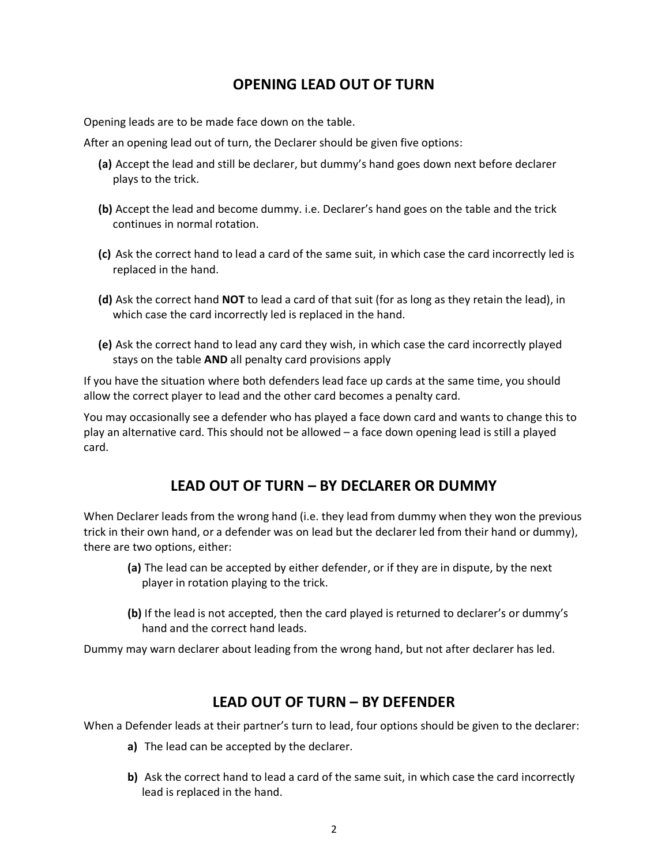## OPENING LEAD OUT OF TURN

Opening leads are to be made face down on the table.

After an opening lead out of turn, the Declarer should be given five options:

- (a) Accept the lead and still be declarer, but dummy's hand goes down next before declarer plays to the trick.
- (b) Accept the lead and become dummy. i.e. Declarer's hand goes on the table and the trick continues in normal rotation.
- (c) Ask the correct hand to lead a card of the same suit, in which case the card incorrectly led is replaced in the hand.
- (d) Ask the correct hand NOT to lead a card of that suit (for as long as they retain the lead), in which case the card incorrectly led is replaced in the hand.
- (e) Ask the correct hand to lead any card they wish, in which case the card incorrectly played stays on the table AND all penalty card provisions apply

If you have the situation where both defenders lead face up cards at the same time, you should allow the correct player to lead and the other card becomes a penalty card.

You may occasionally see a defender who has played a face down card and wants to change this to play an alternative card. This should not be allowed – a face down opening lead is still a played card.

## LEAD OUT OF TURN – BY DECLARER OR DUMMY

When Declarer leads from the wrong hand (i.e. they lead from dummy when they won the previous trick in their own hand, or a defender was on lead but the declarer led from their hand or dummy), there are two options, either:

- (a) The lead can be accepted by either defender, or if they are in dispute, by the next player in rotation playing to the trick.
- (b) If the lead is not accepted, then the card played is returned to declarer's or dummy's hand and the correct hand leads.

Dummy may warn declarer about leading from the wrong hand, but not after declarer has led.

### LEAD OUT OF TURN – BY DEFENDER

When a Defender leads at their partner's turn to lead, four options should be given to the declarer:

- a) The lead can be accepted by the declarer.
- b) Ask the correct hand to lead a card of the same suit, in which case the card incorrectly lead is replaced in the hand.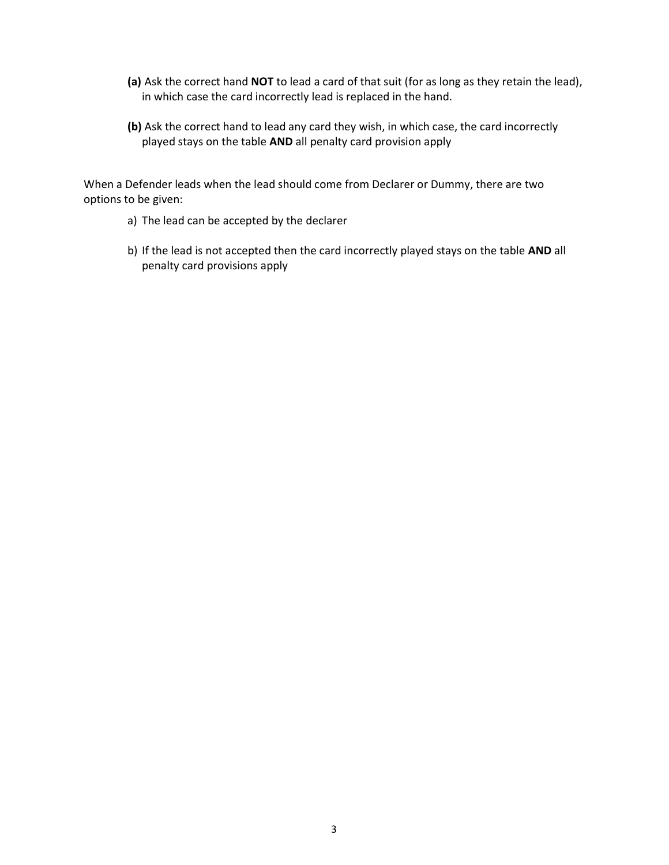- (a) Ask the correct hand NOT to lead a card of that suit (for as long as they retain the lead), in which case the card incorrectly lead is replaced in the hand.
- (b) Ask the correct hand to lead any card they wish, in which case, the card incorrectly played stays on the table AND all penalty card provision apply

When a Defender leads when the lead should come from Declarer or Dummy, there are two options to be given:

- a) The lead can be accepted by the declarer
- b) If the lead is not accepted then the card incorrectly played stays on the table AND all penalty card provisions apply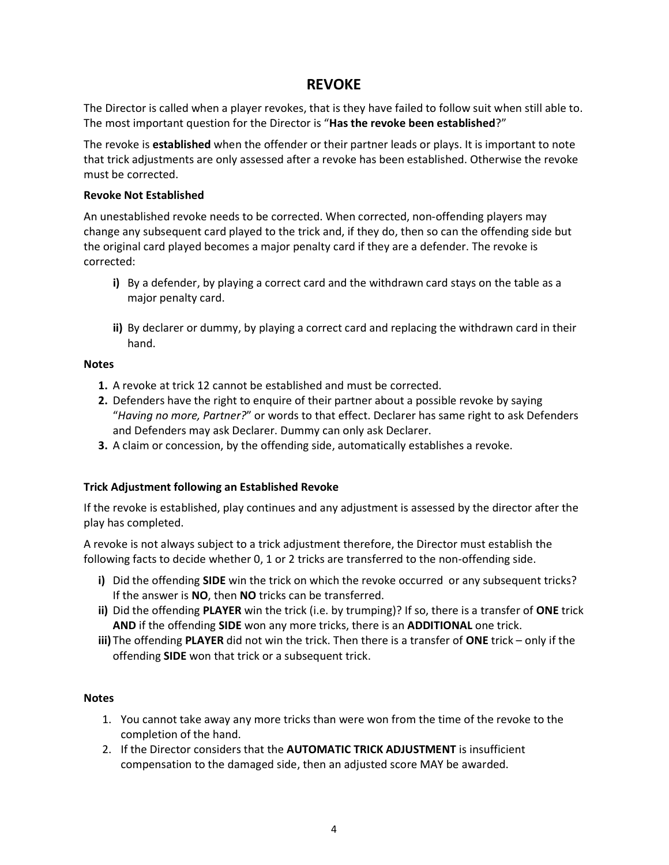### REVOKE

The Director is called when a player revokes, that is they have failed to follow suit when still able to. The most important question for the Director is "Has the revoke been established?"

The revoke is established when the offender or their partner leads or plays. It is important to note that trick adjustments are only assessed after a revoke has been established. Otherwise the revoke must be corrected.

#### Revoke Not Established

An unestablished revoke needs to be corrected. When corrected, non-offending players may change any subsequent card played to the trick and, if they do, then so can the offending side but the original card played becomes a major penalty card if they are a defender. The revoke is corrected:

- i) By a defender, by playing a correct card and the withdrawn card stays on the table as a major penalty card.
- ii) By declarer or dummy, by playing a correct card and replacing the withdrawn card in their hand.

#### **Notes**

- 1. A revoke at trick 12 cannot be established and must be corrected.
- 2. Defenders have the right to enquire of their partner about a possible revoke by saying "Having no more, Partner?" or words to that effect. Declarer has same right to ask Defenders and Defenders may ask Declarer. Dummy can only ask Declarer.
- 3. A claim or concession, by the offending side, automatically establishes a revoke.

#### Trick Adjustment following an Established Revoke

If the revoke is established, play continues and any adjustment is assessed by the director after the play has completed.

A revoke is not always subject to a trick adjustment therefore, the Director must establish the following facts to decide whether 0, 1 or 2 tricks are transferred to the non-offending side.

- i) Did the offending SIDE win the trick on which the revoke occurred or any subsequent tricks? If the answer is NO, then NO tricks can be transferred.
- ii) Did the offending PLAYER win the trick (i.e. by trumping)? If so, there is a transfer of ONE trick AND if the offending SIDE won any more tricks, there is an ADDITIONAL one trick.
- iii) The offending PLAYER did not win the trick. Then there is a transfer of ONE trick only if the offending SIDE won that trick or a subsequent trick.

#### **Notes**

- 1. You cannot take away any more tricks than were won from the time of the revoke to the completion of the hand.
- 2. If the Director considers that the AUTOMATIC TRICK ADJUSTMENT is insufficient compensation to the damaged side, then an adjusted score MAY be awarded.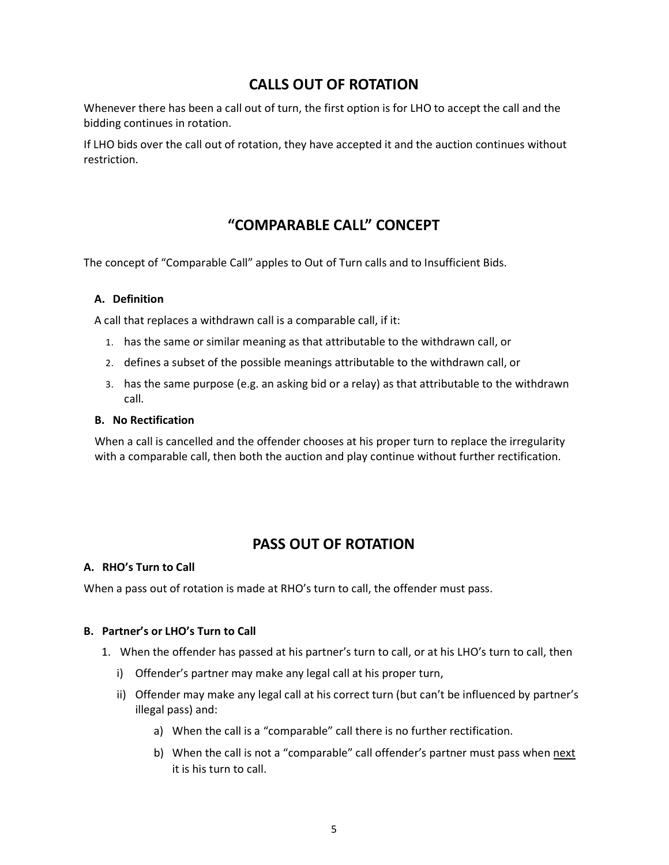### CALLS OUT OF ROTATION

Whenever there has been a call out of turn, the first option is for LHO to accept the call and the bidding continues in rotation.

If LHO bids over the call out of rotation, they have accepted it and the auction continues without restriction.

# "COMPARABLE CALL" CONCEPT

The concept of "Comparable Call" apples to Out of Turn calls and to Insufficient Bids.

#### A. Definition

A call that replaces a withdrawn call is a comparable call, if it:

- 1. has the same or similar meaning as that attributable to the withdrawn call, or
- 2. defines a subset of the possible meanings attributable to the withdrawn call, or
- 3. has the same purpose (e.g. an asking bid or a relay) as that attributable to the withdrawn call.

#### B. No Rectification

When a call is cancelled and the offender chooses at his proper turn to replace the irregularity with a comparable call, then both the auction and play continue without further rectification.

## PASS OUT OF ROTATION

#### A. RHO's Turn to Call

When a pass out of rotation is made at RHO's turn to call, the offender must pass.

#### B. Partner's or LHO's Turn to Call

- 1. When the offender has passed at his partner's turn to call, or at his LHO's turn to call, then
	- i) Offender's partner may make any legal call at his proper turn,
	- ii) Offender may make any legal call at his correct turn (but can't be influenced by partner's illegal pass) and:
		- a) When the call is a "comparable" call there is no further rectification.
		- b) When the call is not a "comparable" call offender's partner must pass when next it is his turn to call.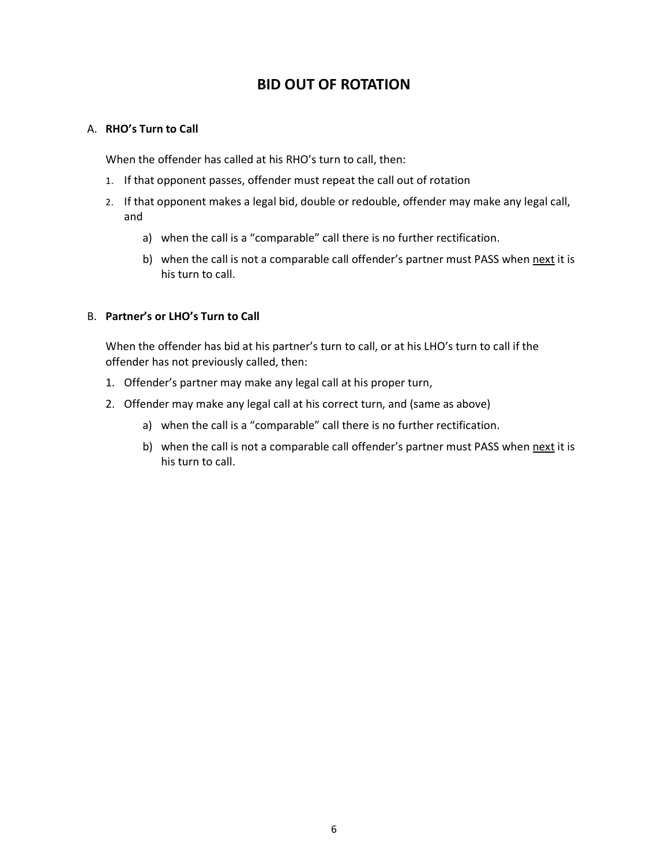## BID OUT OF ROTATION

#### A. RHO's Turn to Call

When the offender has called at his RHO's turn to call, then:

- 1. If that opponent passes, offender must repeat the call out of rotation
- 2. If that opponent makes a legal bid, double or redouble, offender may make any legal call, and
	- a) when the call is a "comparable" call there is no further rectification.
	- b) when the call is not a comparable call offender's partner must PASS when next it is his turn to call.

#### B. Partner's or LHO's Turn to Call

When the offender has bid at his partner's turn to call, or at his LHO's turn to call if the offender has not previously called, then:

- 1. Offender's partner may make any legal call at his proper turn,
- 2. Offender may make any legal call at his correct turn, and (same as above)
	- a) when the call is a "comparable" call there is no further rectification.
	- b) when the call is not a comparable call offender's partner must PASS when next it is his turn to call.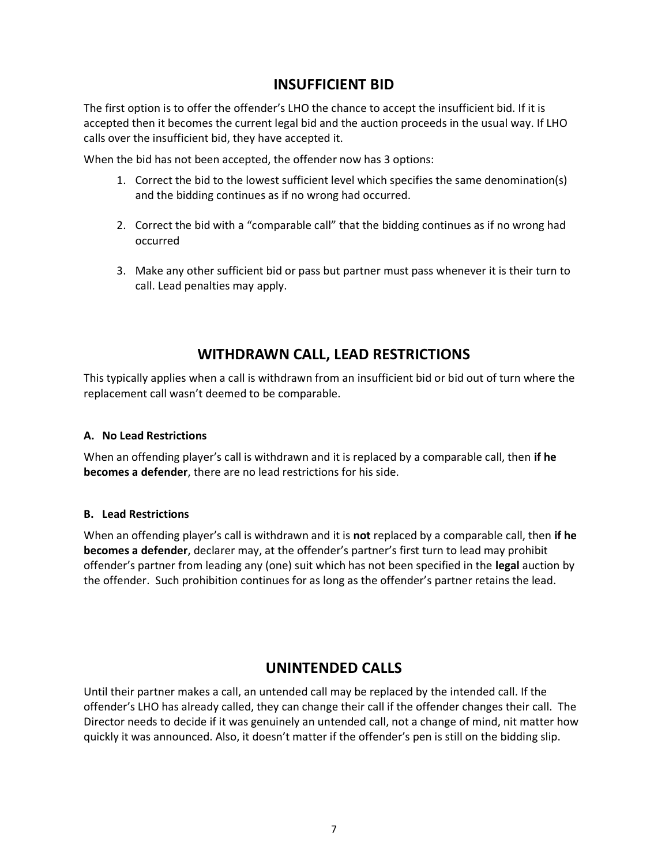### INSUFFICIENT BID

The first option is to offer the offender's LHO the chance to accept the insufficient bid. If it is accepted then it becomes the current legal bid and the auction proceeds in the usual way. If LHO calls over the insufficient bid, they have accepted it.

When the bid has not been accepted, the offender now has 3 options:

- 1. Correct the bid to the lowest sufficient level which specifies the same denomination(s) and the bidding continues as if no wrong had occurred.
- 2. Correct the bid with a "comparable call" that the bidding continues as if no wrong had occurred
- 3. Make any other sufficient bid or pass but partner must pass whenever it is their turn to call. Lead penalties may apply.

# WITHDRAWN CALL, LEAD RESTRICTIONS

This typically applies when a call is withdrawn from an insufficient bid or bid out of turn where the replacement call wasn't deemed to be comparable.

#### A. No Lead Restrictions

When an offending player's call is withdrawn and it is replaced by a comparable call, then if he becomes a defender, there are no lead restrictions for his side.

#### B. Lead Restrictions

When an offending player's call is withdrawn and it is **not** replaced by a comparable call, then if he becomes a defender, declarer may, at the offender's partner's first turn to lead may prohibit offender's partner from leading any (one) suit which has not been specified in the legal auction by the offender. Such prohibition continues for as long as the offender's partner retains the lead.

# UNINTENDED CALLS

Until their partner makes a call, an untended call may be replaced by the intended call. If the offender's LHO has already called, they can change their call if the offender changes their call. The Director needs to decide if it was genuinely an untended call, not a change of mind, nit matter how quickly it was announced. Also, it doesn't matter if the offender's pen is still on the bidding slip.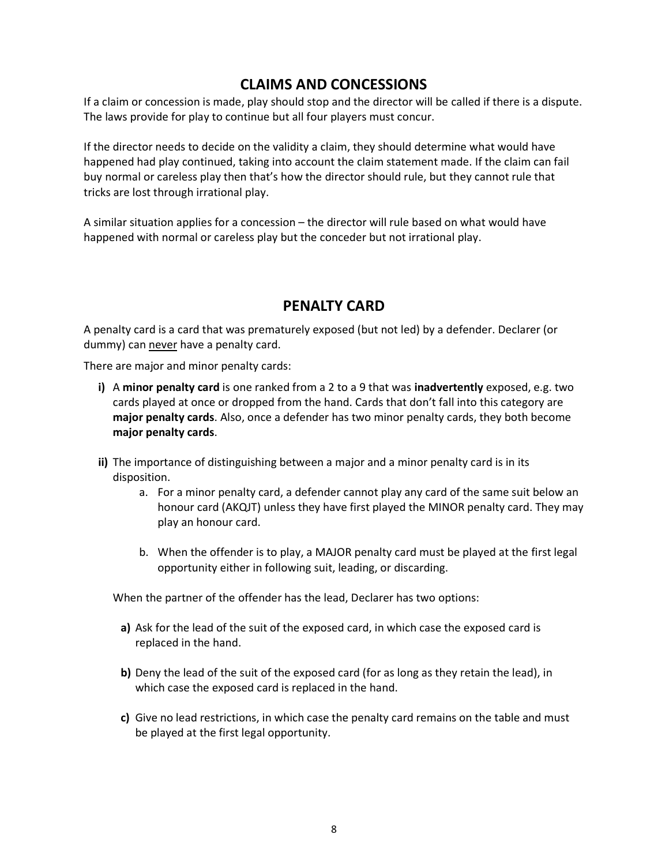### CLAIMS AND CONCESSIONS

If a claim or concession is made, play should stop and the director will be called if there is a dispute. The laws provide for play to continue but all four players must concur.

If the director needs to decide on the validity a claim, they should determine what would have happened had play continued, taking into account the claim statement made. If the claim can fail buy normal or careless play then that's how the director should rule, but they cannot rule that tricks are lost through irrational play.

A similar situation applies for a concession – the director will rule based on what would have happened with normal or careless play but the conceder but not irrational play.

# PENALTY CARD

A penalty card is a card that was prematurely exposed (but not led) by a defender. Declarer (or dummy) can never have a penalty card.

There are major and minor penalty cards:

- i) A minor penalty card is one ranked from a 2 to a 9 that was inadvertently exposed, e.g. two cards played at once or dropped from the hand. Cards that don't fall into this category are major penalty cards. Also, once a defender has two minor penalty cards, they both become major penalty cards.
- ii) The importance of distinguishing between a major and a minor penalty card is in its disposition.
	- a. For a minor penalty card, a defender cannot play any card of the same suit below an honour card (AKQJT) unless they have first played the MINOR penalty card. They may play an honour card.
	- b. When the offender is to play, a MAJOR penalty card must be played at the first legal opportunity either in following suit, leading, or discarding.

When the partner of the offender has the lead, Declarer has two options:

- a) Ask for the lead of the suit of the exposed card, in which case the exposed card is replaced in the hand.
- b) Deny the lead of the suit of the exposed card (for as long as they retain the lead), in which case the exposed card is replaced in the hand.
- c) Give no lead restrictions, in which case the penalty card remains on the table and must be played at the first legal opportunity.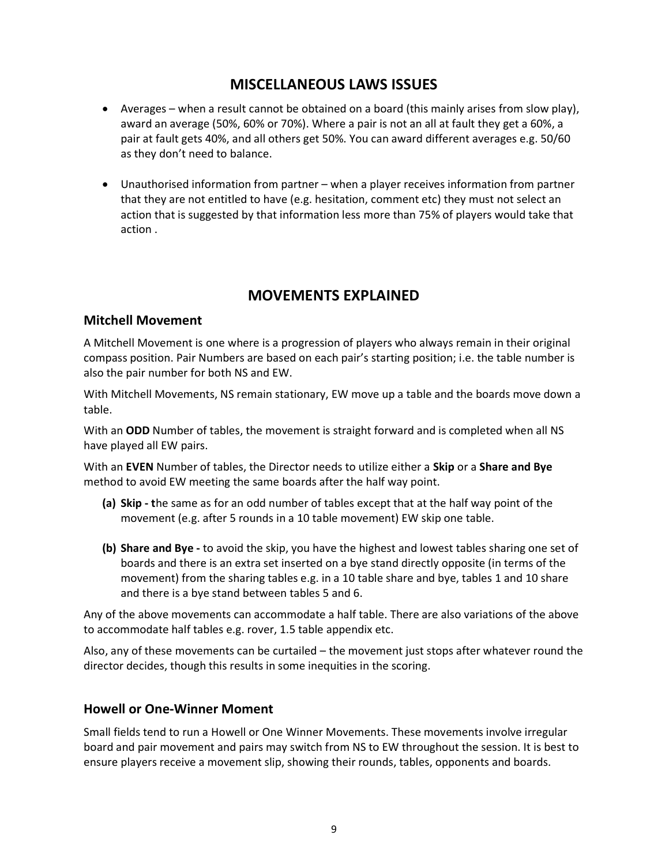### MISCELLANEOUS LAWS ISSUES

- Averages when a result cannot be obtained on a board (this mainly arises from slow play), award an average (50%, 60% or 70%). Where a pair is not an all at fault they get a 60%, a pair at fault gets 40%, and all others get 50%. You can award different averages e.g. 50/60 as they don't need to balance.
- Unauthorised information from partner when a player receives information from partner that they are not entitled to have (e.g. hesitation, comment etc) they must not select an action that is suggested by that information less more than 75% of players would take that action .

# MOVEMENTS EXPLAINED

#### Mitchell Movement

A Mitchell Movement is one where is a progression of players who always remain in their original compass position. Pair Numbers are based on each pair's starting position; i.e. the table number is also the pair number for both NS and EW.

With Mitchell Movements, NS remain stationary, EW move up a table and the boards move down a table.

With an ODD Number of tables, the movement is straight forward and is completed when all NS have played all EW pairs.

With an EVEN Number of tables, the Director needs to utilize either a Skip or a Share and Bye method to avoid EW meeting the same boards after the half way point.

- (a) Skip the same as for an odd number of tables except that at the half way point of the movement (e.g. after 5 rounds in a 10 table movement) EW skip one table.
- (b) Share and Bye to avoid the skip, you have the highest and lowest tables sharing one set of boards and there is an extra set inserted on a bye stand directly opposite (in terms of the movement) from the sharing tables e.g. in a 10 table share and bye, tables 1 and 10 share and there is a bye stand between tables 5 and 6.

Any of the above movements can accommodate a half table. There are also variations of the above to accommodate half tables e.g. rover, 1.5 table appendix etc.

Also, any of these movements can be curtailed – the movement just stops after whatever round the director decides, though this results in some inequities in the scoring.

#### Howell or One-Winner Moment

Small fields tend to run a Howell or One Winner Movements. These movements involve irregular board and pair movement and pairs may switch from NS to EW throughout the session. It is best to ensure players receive a movement slip, showing their rounds, tables, opponents and boards.